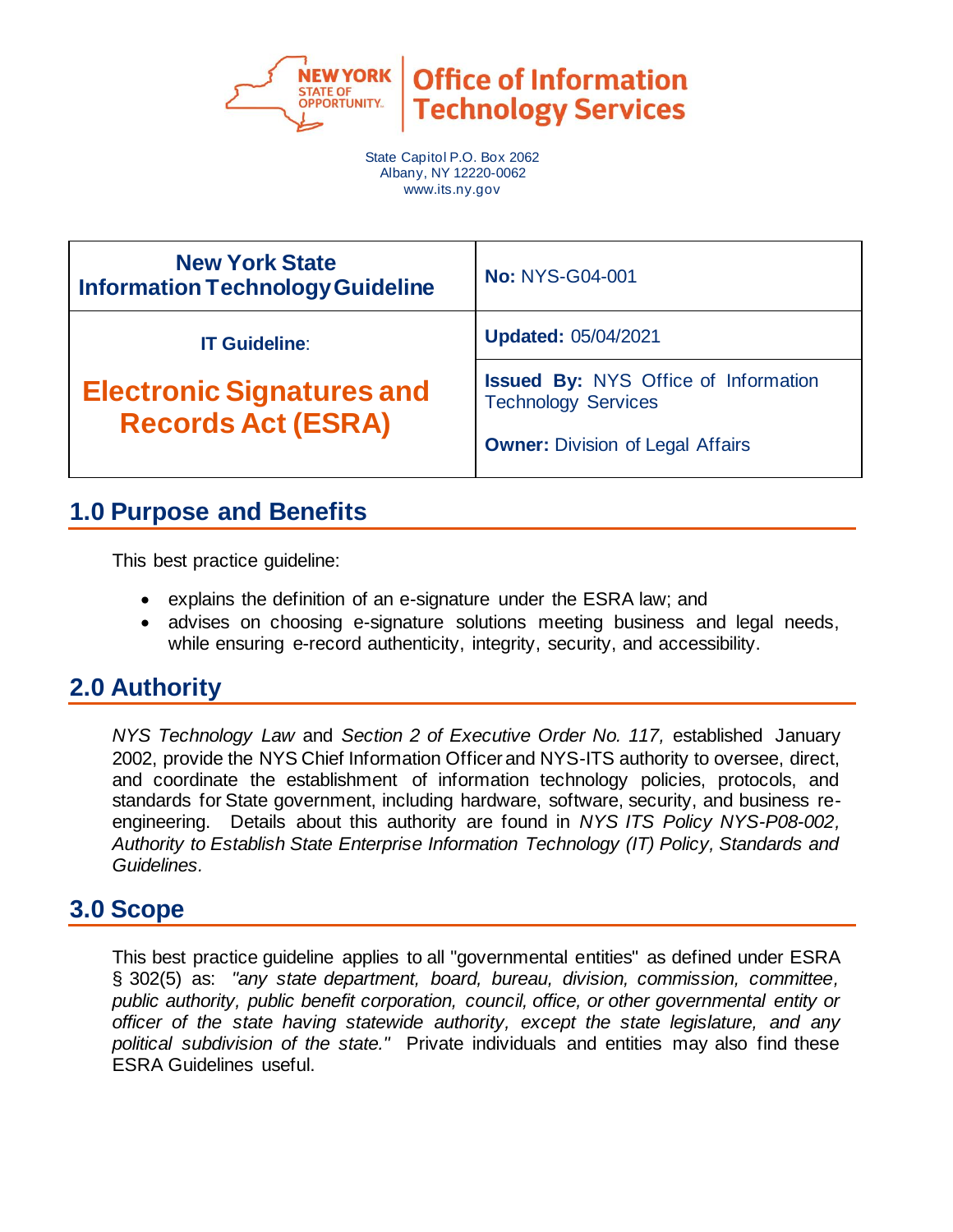

**Office of Information Technology Services** 

State Capitol P.O. Box 2062 Albany, NY 12220-0062 www.its.ny.gov

| <b>New York State</b><br><b>Information Technology Guideline</b> | <b>No: NYS-G04-001</b>                                                                                               |  |
|------------------------------------------------------------------|----------------------------------------------------------------------------------------------------------------------|--|
| <b>IT Guideline:</b>                                             | <b>Updated: 05/04/2021</b>                                                                                           |  |
| <b>Electronic Signatures and</b><br><b>Records Act (ESRA)</b>    | <b>Issued By: NYS Office of Information</b><br><b>Technology Services</b><br><b>Owner: Division of Legal Affairs</b> |  |

# **1.0 Purpose and Benefits**

This best practice guideline:

- explains the definition of an e-signature under the ESRA law; and
- advises on choosing e-signature solutions meeting business and legal needs, while ensuring e-record authenticity, integrity, security, and accessibility.

# **2.0 Authority**

*NYS Technology Law* and *Section 2 of Executive Order No. 117,* established January 2002, provide the NYS Chief Information Officer and NYS-ITS authority to oversee, direct, and coordinate the establishment of information technology policies, protocols, and standards for State government, including hardware, software, security, and business reengineering. Details about this authority are found in *NYS ITS Policy NYS-P08-002, Authority to Establish State Enterprise Information Technology (IT) Policy, Standards and Guidelines.*

### **3.0 Scope**

This best practice guideline applies to all "governmental entities" as defined under ESRA § 302(5) as: *"any state department, board, bureau, division, commission, committee, public authority, public benefit corporation, council, office, or other governmental entity or officer of the state having statewide authority, except the state legislature, and any political subdivision of the state."* Private individuals and entities may also find these ESRA Guidelines useful.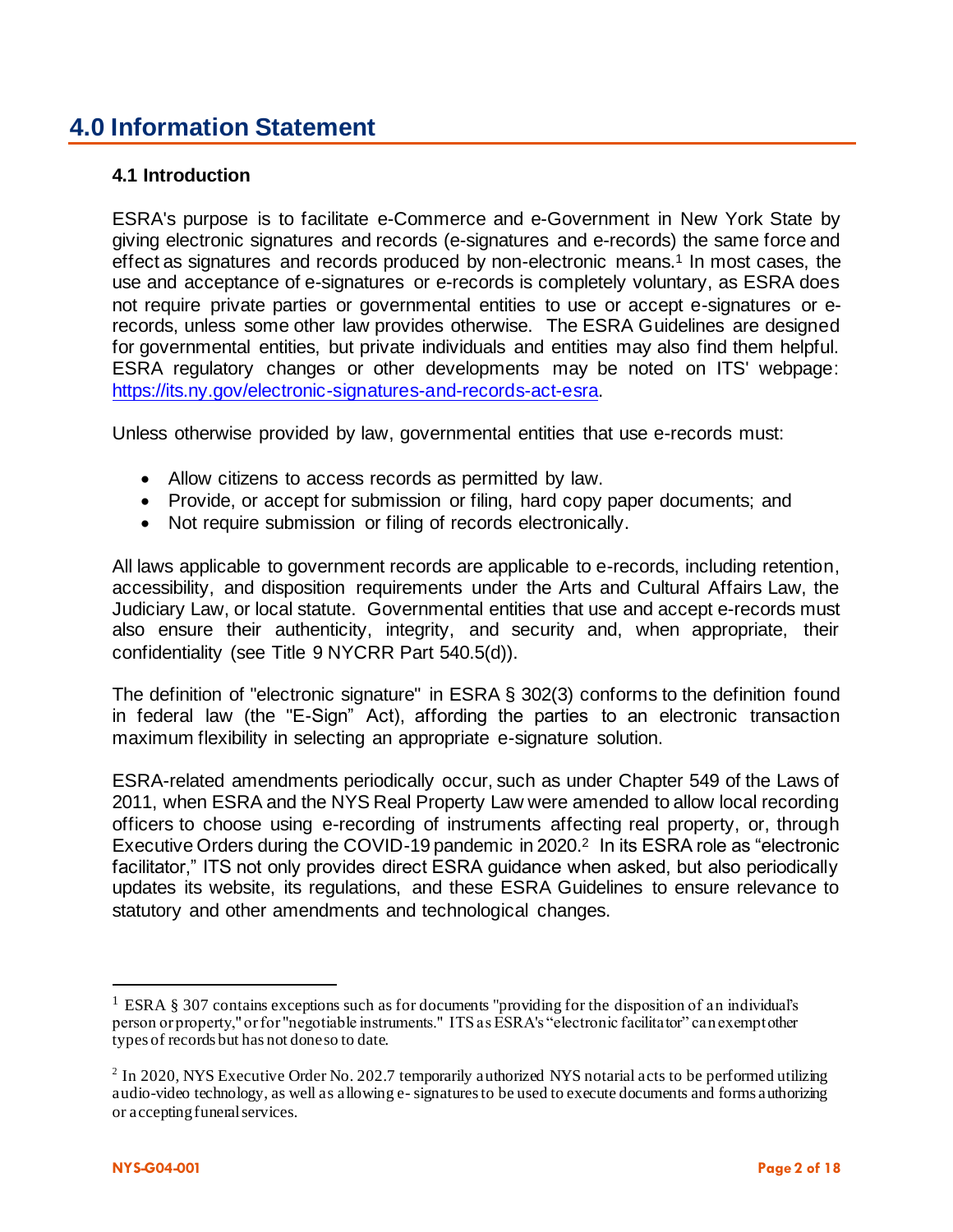# **4.0 Information Statement**

#### **4.1 Introduction**

ESRA's purpose is to facilitate e-Commerce and e-Government in New York State by giving electronic signatures and records (e-signatures and e-records) the same force and effect as signatures and records produced by non-electronic means.<sup>1</sup> In most cases, the use and acceptance of e-signatures or e-records is completely voluntary, as ESRA does not require private parties or governmental entities to use or accept e-signatures or erecords, unless some other law provides otherwise. The ESRA Guidelines are designed for governmental entities, but private individuals and entities may also find them helpful. ESRA regulatory changes or other developments may be noted on ITS' webpage: https://its.ny.gov/electronic-signatures-and-records-act-esra.

Unless otherwise provided by law, governmental entities that use e-records must:

- Allow citizens to access records as permitted by law.
- Provide, or accept for submission or filing, hard copy paper documents; and
- Not require submission or filing of records electronically.

All laws applicable to government records are applicable to e-records, including retention, accessibility, and disposition requirements under the Arts and Cultural Affairs Law, the Judiciary Law, or local statute. Governmental entities that use and accept e-records must also ensure their authenticity, integrity, and security and, when appropriate, their confidentiality (see Title 9 NYCRR Part 540.5(d)).

The definition of "electronic signature" in ESRA § 302(3) conforms to the definition found in federal law (the "E-Sign" Act), affording the parties to an electronic transaction maximum flexibility in selecting an appropriate e-signature solution.

ESRA-related amendments periodically occur, such as under Chapter 549 of the Laws of 2011, when ESRA and the NYS Real Property Law were amended to allow local recording officers to choose using e-recording of instruments affecting real property, or, through Executive Orders during the COVID-19 pandemic in 2020.<sup>2</sup> In its ESRA role as "electronic facilitator," ITS not only provides direct ESRA guidance when asked, but also periodically updates its website, its regulations, and these ESRA Guidelines to ensure relevance to statutory and other amendments and technological changes.

<sup>&</sup>lt;sup>1</sup> ESRA § 307 contains exceptions such as for documents "providing for the disposition of an individual's person or property," or for "negotiable instruments." ITS as ESRA's "electronic facilitator" can exempt other types of records but has not done so to date.

 $2$  In 2020, NYS Executive Order No. 202.7 temporarily authorized NYS notarial acts to be performed utilizing audio-video technology, as well as allowing e- signatures to be used to execute documents and forms authorizing or accepting funeral services.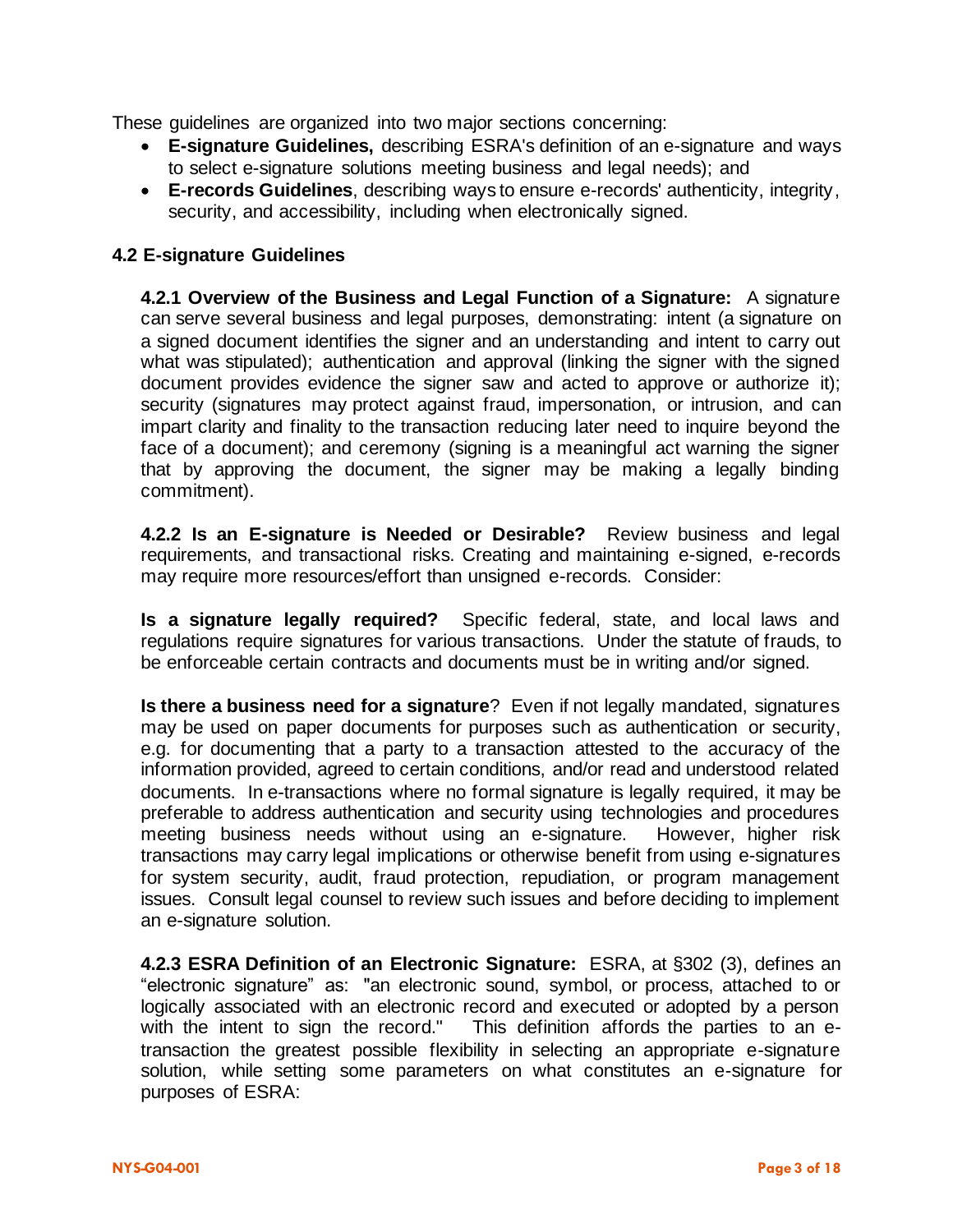These guidelines are organized into two major sections concerning:

- **E-signature Guidelines,** describing ESRA's definition of an e-signature and ways to select e-signature solutions meeting business and legal needs); and
- **E-records Guidelines**, describing ways to ensure e-records' authenticity, integrity, security, and accessibility, including when electronically signed.

#### **4.2 E-signature Guidelines**

**4.2.1 Overview of the Business and Legal Function of a Signature:** A signature can serve several business and legal purposes, demonstrating: intent (a signature on a signed document identifies the signer and an understanding and intent to carry out what was stipulated); authentication and approval (linking the signer with the signed document provides evidence the signer saw and acted to approve or authorize it); security (signatures may protect against fraud, impersonation, or intrusion, and can impart clarity and finality to the transaction reducing later need to inquire beyond the face of a document); and ceremony (signing is a meaningful act warning the signer that by approving the document, the signer may be making a legally binding commitment).

**4.2.2 Is an E-signature is Needed or Desirable?** Review business and legal requirements, and transactional risks. Creating and maintaining e-signed, e-records may require more resources/effort than unsigned e-records. Consider:

**Is a signature legally required?** Specific federal, state, and local laws and regulations require signatures for various transactions. Under the statute of frauds, to be enforceable certain contracts and documents must be in writing and/or signed.

**Is there a business need for a signature**? Even if not legally mandated, signatures may be used on paper documents for purposes such as authentication or security, e.g. for documenting that a party to a transaction attested to the accuracy of the information provided, agreed to certain conditions, and/or read and understood related documents. In e-transactions where no formal signature is legally required, it may be preferable to address authentication and security using technologies and procedures meeting business needs without using an e-signature. However, higher risk transactions may carry legal implications or otherwise benefit from using e-signatures for system security, audit, fraud protection, repudiation, or program management issues. Consult legal counsel to review such issues and before deciding to implement an e-signature solution.

**4.2.3 ESRA Definition of an Electronic Signature:** ESRA, at §302 (3), defines an "electronic signature" as: "an electronic sound, symbol, or process, attached to or logically associated with an electronic record and executed or adopted by a person with the intent to sign the record." This definition affords the parties to an etransaction the greatest possible flexibility in selecting an appropriate e-signature solution, while setting some parameters on what constitutes an e-signature for purposes of ESRA: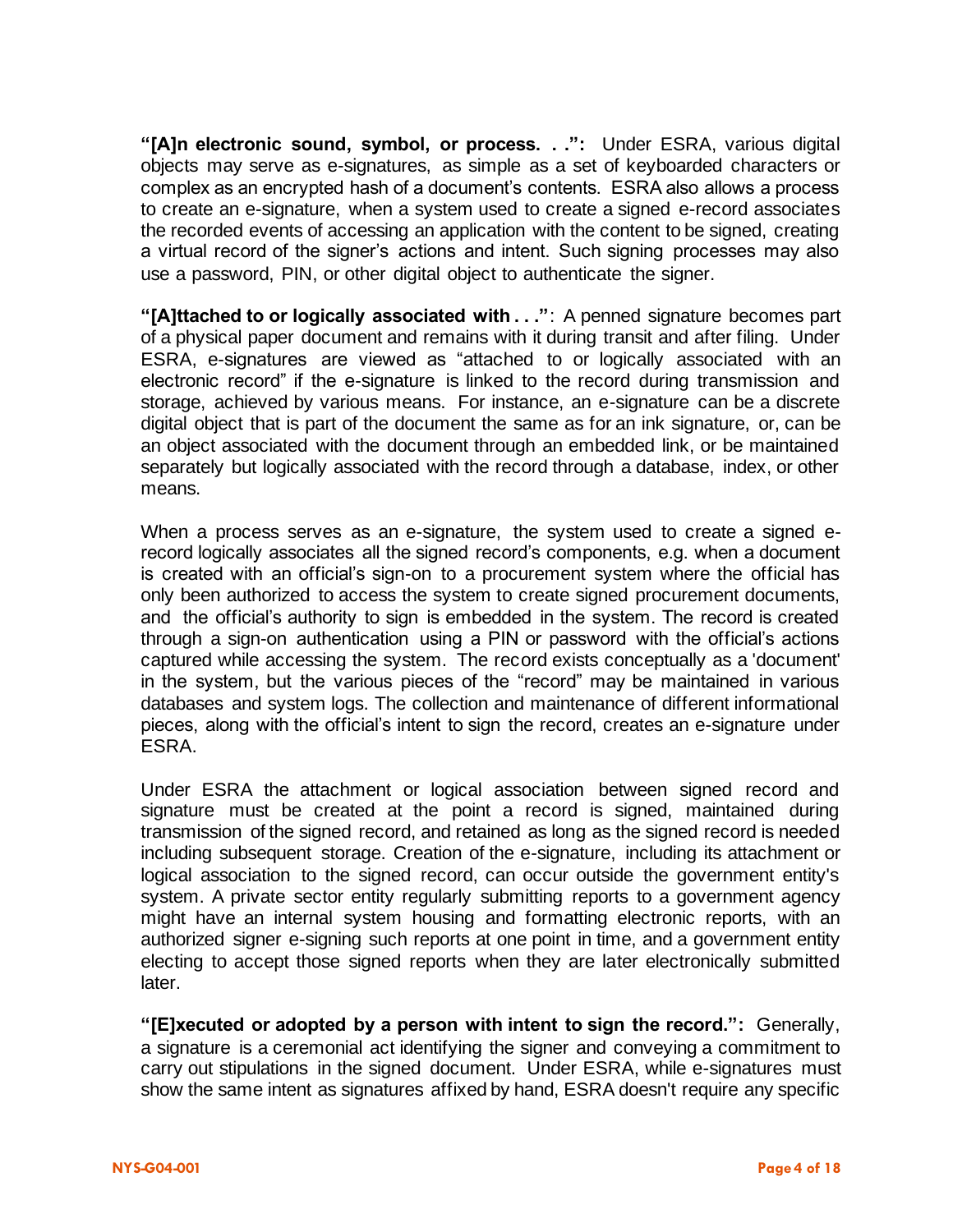**"[A]n electronic sound, symbol, or process. . .":** Under ESRA, various digital objects may serve as e-signatures, as simple as a set of keyboarded characters or complex as an encrypted hash of a document's contents. ESRA also allows a process to create an e-signature, when a system used to create a signed e-record associates the recorded events of accessing an application with the content to be signed, creating a virtual record of the signer's actions and intent. Such signing processes may also use a password, PIN, or other digital object to authenticate the signer.

**"[A]ttached to or logically associated with . . ."**: A penned signature becomes part of a physical paper document and remains with it during transit and after filing. Under ESRA, e-signatures are viewed as "attached to or logically associated with an electronic record" if the e-signature is linked to the record during transmission and storage, achieved by various means. For instance, an e-signature can be a discrete digital object that is part of the document the same as for an ink signature, or, can be an object associated with the document through an embedded link, or be maintained separately but logically associated with the record through a database, index, or other means.

When a process serves as an e-signature, the system used to create a signed erecord logically associates all the signed record's components, e.g. when a document is created with an official's sign-on to a procurement system where the official has only been authorized to access the system to create signed procurement documents, and the official's authority to sign is embedded in the system. The record is created through a sign-on authentication using a PIN or password with the official's actions captured while accessing the system. The record exists conceptually as a 'document' in the system, but the various pieces of the "record" may be maintained in various databases and system logs. The collection and maintenance of different informational pieces, along with the official's intent to sign the record, creates an e-signature under ESRA.

Under ESRA the attachment or logical association between signed record and signature must be created at the point a record is signed, maintained during transmission of the signed record, and retained as long as the signed record is needed including subsequent storage. Creation of the e-signature, including its attachment or logical association to the signed record, can occur outside the government entity's system. A private sector entity regularly submitting reports to a government agency might have an internal system housing and formatting electronic reports, with an authorized signer e-signing such reports at one point in time, and a government entity electing to accept those signed reports when they are later electronically submitted later.

**"[E]xecuted or adopted by a person with intent to sign the record.":** Generally, a signature is a ceremonial act identifying the signer and conveying a commitment to carry out stipulations in the signed document. Under ESRA, while e-signatures must show the same intent as signatures affixed by hand, ESRA doesn't require any specific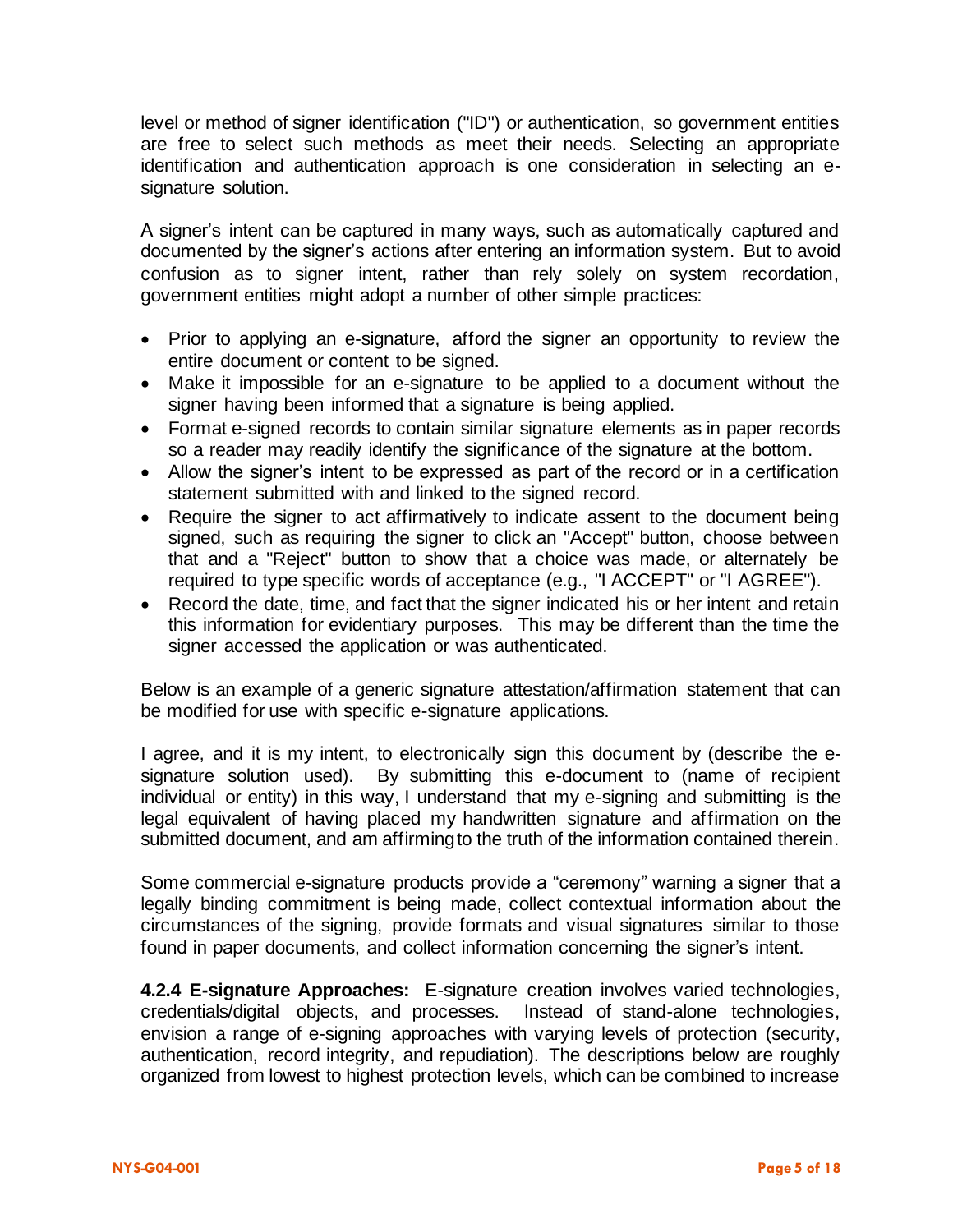level or method of signer identification ("ID") or authentication, so government entities are free to select such methods as meet their needs. Selecting an appropriate identification and authentication approach is one consideration in selecting an esignature solution.

A signer's intent can be captured in many ways, such as automatically captured and documented by the signer's actions after entering an information system. But to avoid confusion as to signer intent, rather than rely solely on system recordation, government entities might adopt a number of other simple practices:

- Prior to applying an e-signature, afford the signer an opportunity to review the entire document or content to be signed.
- Make it impossible for an e-signature to be applied to a document without the signer having been informed that a signature is being applied.
- Format e-signed records to contain similar signature elements as in paper records so a reader may readily identify the significance of the signature at the bottom.
- Allow the signer's intent to be expressed as part of the record or in a certification statement submitted with and linked to the signed record.
- Require the signer to act affirmatively to indicate assent to the document being signed, such as requiring the signer to click an "Accept" button, choose between that and a "Reject" button to show that a choice was made, or alternately be required to type specific words of acceptance (e.g., "I ACCEPT" or "I AGREE").
- Record the date, time, and fact that the signer indicated his or her intent and retain this information for evidentiary purposes. This may be different than the time the signer accessed the application or was authenticated.

Below is an example of a generic signature attestation/affirmation statement that can be modified for use with specific e-signature applications.

I agree, and it is my intent, to electronically sign this document by (describe the esignature solution used). By submitting this e-document to (name of recipient individual or entity) in this way, I understand that my e-signing and submitting is the legal equivalent of having placed my handwritten signature and affirmation on the submitted document, and am affirming to the truth of the information contained therein.

Some commercial e-signature products provide a "ceremony" warning a signer that a legally binding commitment is being made, collect contextual information about the circumstances of the signing, provide formats and visual signatures similar to those found in paper documents, and collect information concerning the signer's intent.

**4.2.4 E-signature Approaches:** E-signature creation involves varied technologies, credentials/digital objects, and processes. Instead of stand-alone technologies, envision a range of e-signing approaches with varying levels of protection (security, authentication, record integrity, and repudiation). The descriptions below are roughly organized from lowest to highest protection levels, which can be combined to increase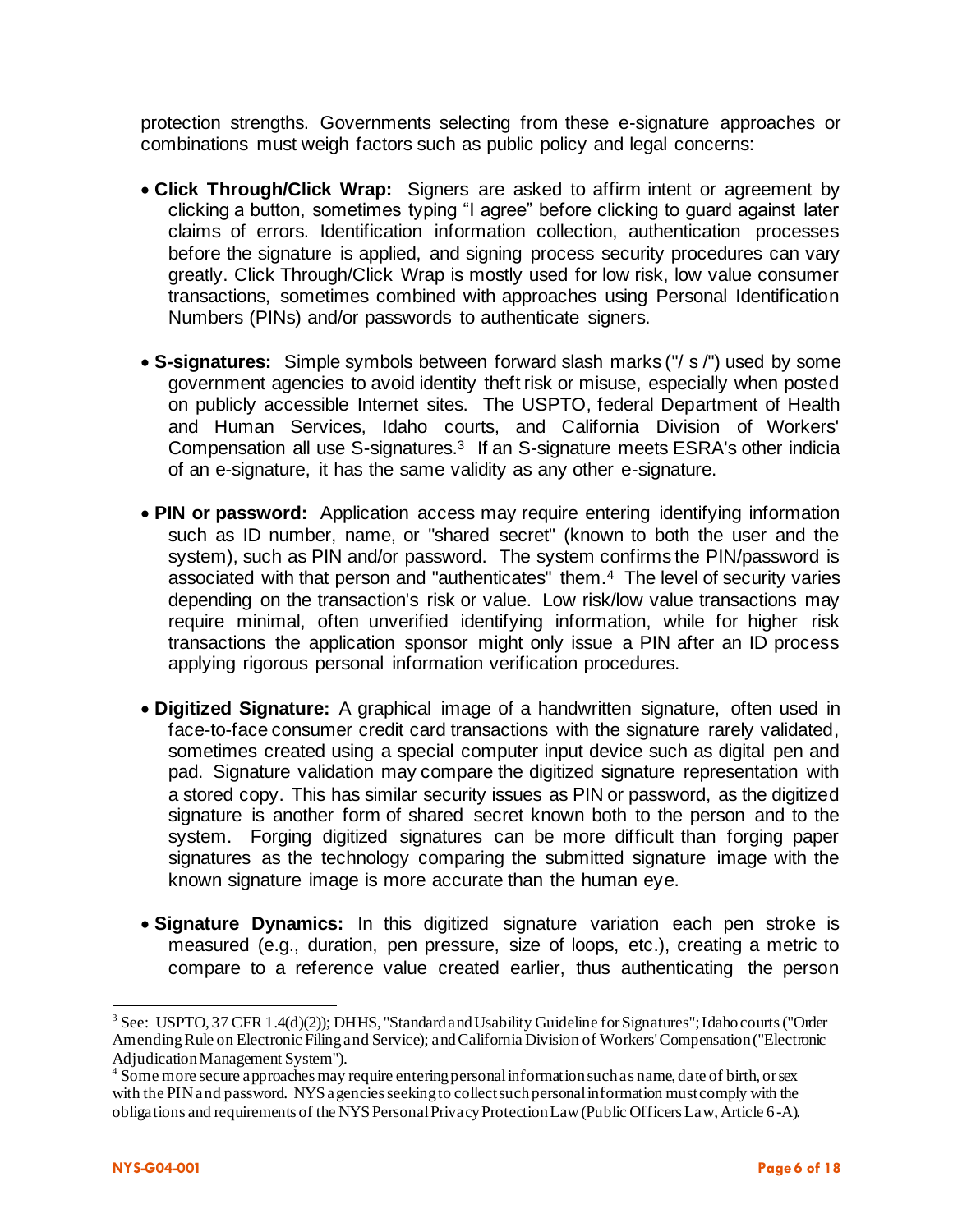protection strengths. Governments selecting from these e-signature approaches or combinations must weigh factors such as public policy and legal concerns:

- **Click Through/Click Wrap:** Signers are asked to affirm intent or agreement by clicking a button, sometimes typing "I agree" before clicking to guard against later claims of errors. Identification information collection, authentication processes before the signature is applied, and signing process security procedures can vary greatly. Click Through/Click Wrap is mostly used for low risk, low value consumer transactions, sometimes combined with approaches using Personal Identification Numbers (PINs) and/or passwords to authenticate signers.
- **S-signatures:** Simple symbols between forward slash marks ("/ s /") used by some government agencies to avoid identity theft risk or misuse, especially when posted on publicly accessible Internet sites. The USPTO, federal Department of Health and Human Services, Idaho courts, and California Division of Workers' Compensation all use S-signatures.3 If an S-signature meets ESRA's other indicia of an e-signature, it has the same validity as any other e-signature.
- **PIN or password:** Application access may require entering identifying information such as ID number, name, or "shared secret" (known to both the user and the system), such as PIN and/or password. The system confirms the PIN/password is associated with that person and "authenticates" them.4 The level of security varies depending on the transaction's risk or value. Low risk/low value transactions may require minimal, often unverified identifying information, while for higher risk transactions the application sponsor might only issue a PIN after an ID process applying rigorous personal information verification procedures.
- **Digitized Signature:** A graphical image of a handwritten signature, often used in face-to-face consumer credit card transactions with the signature rarely validated, sometimes created using a special computer input device such as digital pen and pad. Signature validation may compare the digitized signature representation with a stored copy. This has similar security issues as PIN or password, as the digitized signature is another form of shared secret known both to the person and to the system. Forging digitized signatures can be more difficult than forging paper signatures as the technology comparing the submitted signature image with the known signature image is more accurate than the human eye.
- **Signature Dynamics:** In this digitized signature variation each pen stroke is measured (e.g., duration, pen pressure, size of loops, etc.), creating a metric to compare to a reference value created earlier, thus authenticating the person

<sup>&</sup>lt;sup>3</sup> See: USPTO, 37 CFR 1.4(d)(2)); DHHS, "Standard and Usability Guideline for Signatures"; Idaho courts ("Order Amending Rule on Electronic Filing and Service); and California Division of Workers' Compensation ("Electronic Adjudication Management System").

<sup>&</sup>lt;sup>4</sup> Some more secure approaches may require entering personal information such as name, date of birth, or sex with the PIN and password. NYS agencies seeking to collect such personal information must comply with the obligations and requirements of the NYS Personal Privacy Protection Law (Public Officers Law, Article 6-A).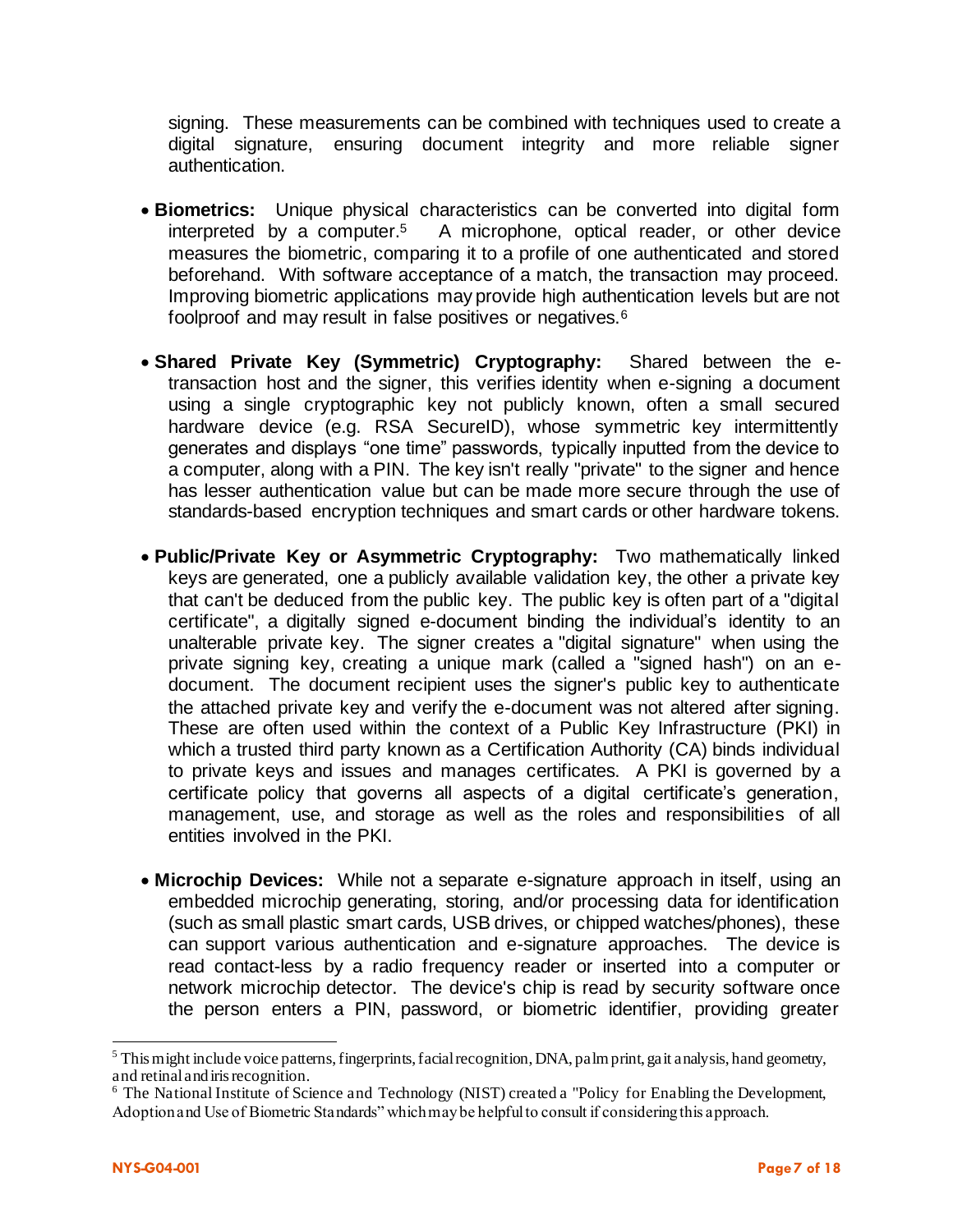signing. These measurements can be combined with techniques used to create a digital signature, ensuring document integrity and more reliable signer authentication.

- **Biometrics:** Unique physical characteristics can be converted into digital form interpreted by a computer.5 A microphone, optical reader, or other device measures the biometric, comparing it to a profile of one authenticated and stored beforehand. With software acceptance of a match, the transaction may proceed. Improving biometric applications may provide high authentication levels but are not foolproof and may result in false positives or negatives.<sup>6</sup>
- **Shared Private Key (Symmetric) Cryptography:** Shared between the etransaction host and the signer, this verifies identity when e-signing a document using a single cryptographic key not publicly known, often a small secured hardware device (e.g. RSA SecureID), whose symmetric key intermittently generates and displays "one time" passwords, typically inputted from the device to a computer, along with a PIN. The key isn't really "private" to the signer and hence has lesser authentication value but can be made more secure through the use of standards-based encryption techniques and smart cards or other hardware tokens.
- **Public/Private Key or Asymmetric Cryptography:** Two mathematically linked keys are generated, one a publicly available validation key, the other a private key that can't be deduced from the public key. The public key is often part of a "digital certificate", a digitally signed e-document binding the individual's identity to an unalterable private key. The signer creates a "digital signature" when using the private signing key, creating a unique mark (called a "signed hash") on an edocument. The document recipient uses the signer's public key to authenticate the attached private key and verify the e-document was not altered after signing. These are often used within the context of a Public Key Infrastructure (PKI) in which a trusted third party known as a Certification Authority (CA) binds individual to private keys and issues and manages certificates. A PKI is governed by a certificate policy that governs all aspects of a digital certificate's generation, management, use, and storage as well as the roles and responsibilities of all entities involved in the PKI.
- **Microchip Devices:** While not a separate e-signature approach in itself, using an embedded microchip generating, storing, and/or processing data for identification (such as small plastic smart cards, USB drives, or chipped watches/phones), these can support various authentication and e-signature approaches. The device is read contact-less by a radio frequency reader or inserted into a computer or network microchip detector. The device's chip is read by security software once the person enters a PIN, password, or biometric identifier, providing greater

 $<sup>5</sup>$  This might include voice patterns, fingerprints, facial recognition, DNA, palm print, gait analysis, hand geometry,</sup> and retinal and iris recognition.

<sup>6</sup> The National Institute of Science and Technology (NIST) created a "Policy for Enabling the Development, Adoption and Use of Biometric Standards" which may be helpful to consult if considering this approach.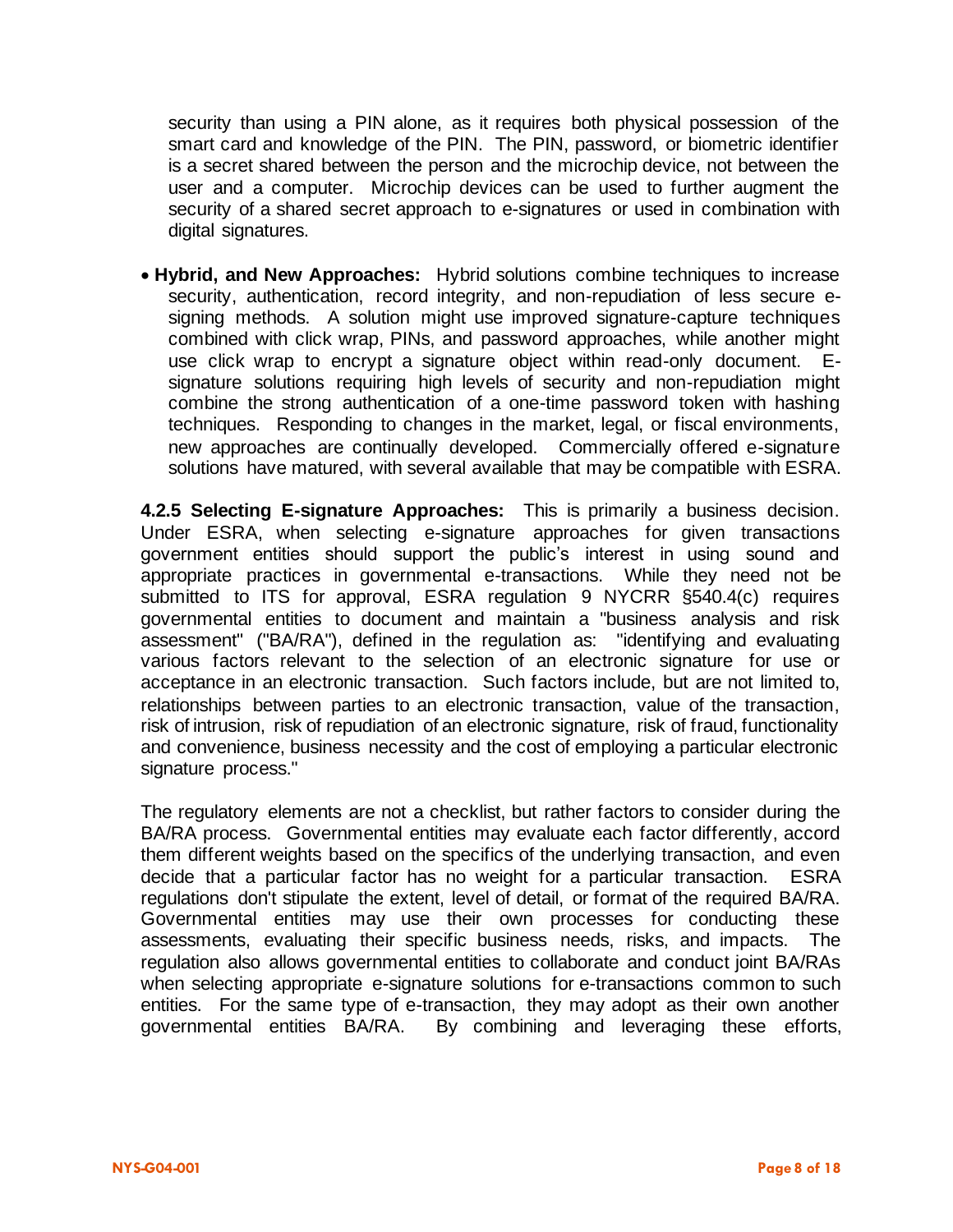security than using a PIN alone, as it requires both physical possession of the smart card and knowledge of the PIN. The PIN, password, or biometric identifier is a secret shared between the person and the microchip device, not between the user and a computer. Microchip devices can be used to further augment the security of a shared secret approach to e-signatures or used in combination with digital signatures.

• **Hybrid, and New Approaches:** Hybrid solutions combine techniques to increase security, authentication, record integrity, and non-repudiation of less secure esigning methods. A solution might use improved signature-capture techniques combined with click wrap, PINs, and password approaches, while another might use click wrap to encrypt a signature object within read-only document. Esignature solutions requiring high levels of security and non-repudiation might combine the strong authentication of a one-time password token with hashing techniques. Responding to changes in the market, legal, or fiscal environments, new approaches are continually developed. Commercially offered e-signature solutions have matured, with several available that may be compatible with ESRA.

**4.2.5 Selecting E-signature Approaches:** This is primarily a business decision. Under ESRA, when selecting e-signature approaches for given transactions government entities should support the public's interest in using sound and appropriate practices in governmental e-transactions. While they need not be submitted to ITS for approval, ESRA regulation 9 NYCRR §540.4(c) requires governmental entities to document and maintain a "business analysis and risk assessment" ("BA/RA"), defined in the regulation as: "identifying and evaluating various factors relevant to the selection of an electronic signature for use or acceptance in an electronic transaction. Such factors include, but are not limited to, relationships between parties to an electronic transaction, value of the transaction, risk of intrusion, risk of repudiation of an electronic signature, risk of fraud, functionality and convenience, business necessity and the cost of employing a particular electronic signature process."

The regulatory elements are not a checklist, but rather factors to consider during the BA/RA process. Governmental entities may evaluate each factor differently, accord them different weights based on the specifics of the underlying transaction, and even decide that a particular factor has no weight for a particular transaction. ESRA regulations don't stipulate the extent, level of detail, or format of the required BA/RA. Governmental entities may use their own processes for conducting these assessments, evaluating their specific business needs, risks, and impacts. The regulation also allows governmental entities to collaborate and conduct joint BA/RAs when selecting appropriate e-signature solutions for e-transactions common to such entities. For the same type of e-transaction, they may adopt as their own another governmental entities BA/RA. By combining and leveraging these efforts,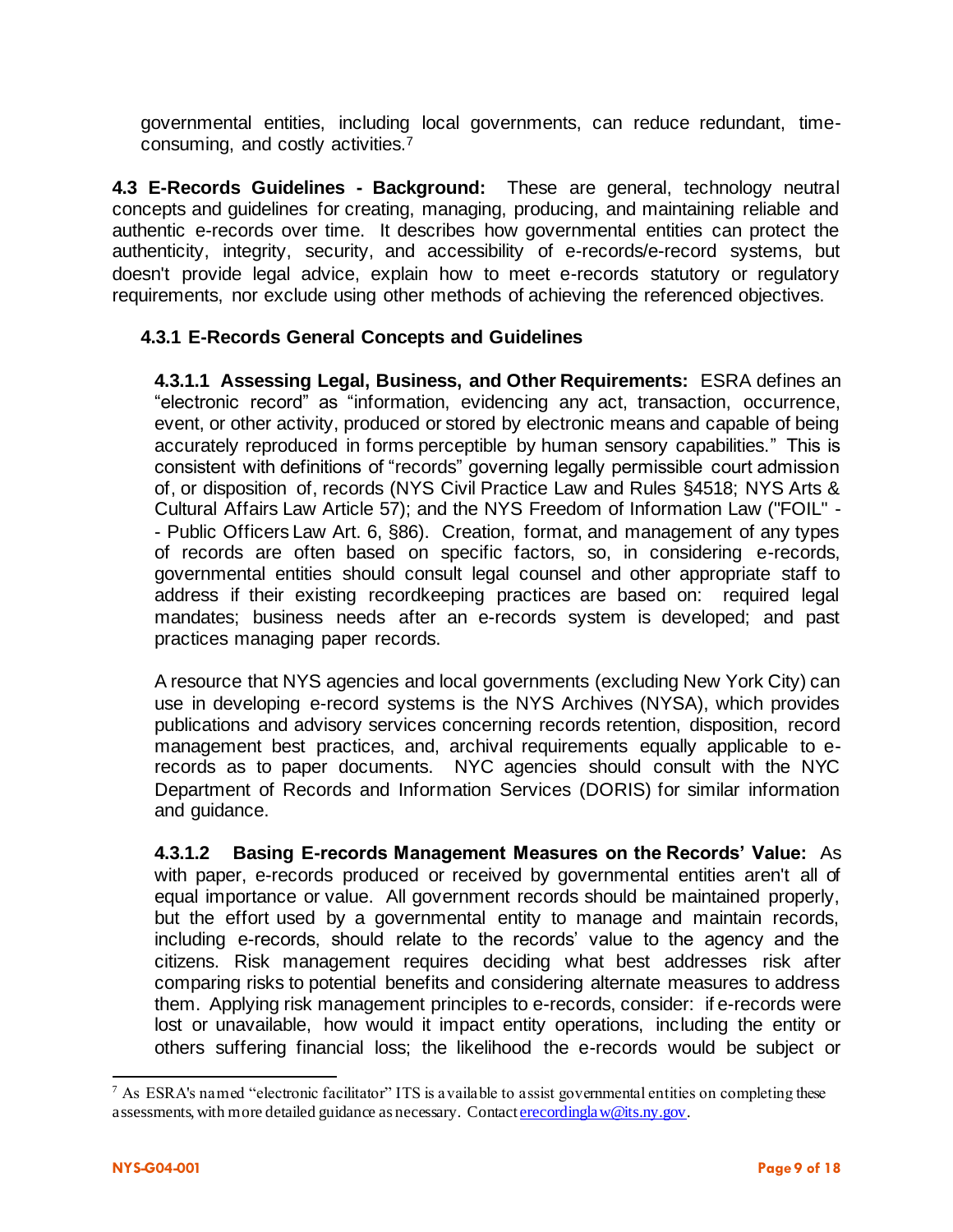governmental entities, including local governments, can reduce redundant, timeconsuming, and costly activities.<sup>7</sup>

**4.3 E-Records Guidelines - Background:** These are general, technology neutral concepts and guidelines for creating, managing, producing, and maintaining reliable and authentic e-records over time. It describes how governmental entities can protect the authenticity, integrity, security, and accessibility of e-records/e-record systems, but doesn't provide legal advice, explain how to meet e-records statutory or regulatory requirements, nor exclude using other methods of achieving the referenced objectives.

#### **4.3.1 E-Records General Concepts and Guidelines**

**4.3.1.1 Assessing Legal, Business, and Other Requirements:** ESRA defines an "electronic record" as "information, evidencing any act, transaction, occurrence, event, or other activity, produced or stored by electronic means and capable of being accurately reproduced in forms perceptible by human sensory capabilities." This is consistent with definitions of "records" governing legally permissible court admission of, or disposition of, records (NYS Civil Practice Law and Rules §4518; NYS Arts & Cultural Affairs Law Article 57); and the NYS Freedom of Information Law ("FOIL" - - Public Officers Law Art. 6, §86). Creation, format, and management of any types of records are often based on specific factors, so, in considering e-records, governmental entities should consult legal counsel and other appropriate staff to address if their existing recordkeeping practices are based on: required legal mandates; business needs after an e-records system is developed; and past practices managing paper records.

A resource that NYS agencies and local governments (excluding New York City) can use in developing e-record systems is the NYS Archives (NYSA), which provides publications and advisory services concerning records retention, disposition, record management best practices, and, archival requirements equally applicable to erecords as to paper documents. NYC agencies should consult with the NYC Department of Records and Information Services (DORIS) for similar information and guidance.

**4.3.1.2 Basing E-records Management Measures on the Records' Value:** As with paper, e-records produced or received by governmental entities aren't all of equal importance or value. All government records should be maintained properly, but the effort used by a governmental entity to manage and maintain records, including e-records, should relate to the records' value to the agency and the citizens. Risk management requires deciding what best addresses risk after comparing risks to potential benefits and considering alternate measures to address them. Applying risk management principles to e-records, consider: if e-records were lost or unavailable, how would it impact entity operations, including the entity or others suffering financial loss; the likelihood the e-records would be subject or

<sup>7</sup> As ESRA's named "electronic facilitator" ITS is available to assist governmental entities on completing these assessments, with more detailed guidance as necessary. Contact *erecordinglaw@its.ny.gov.*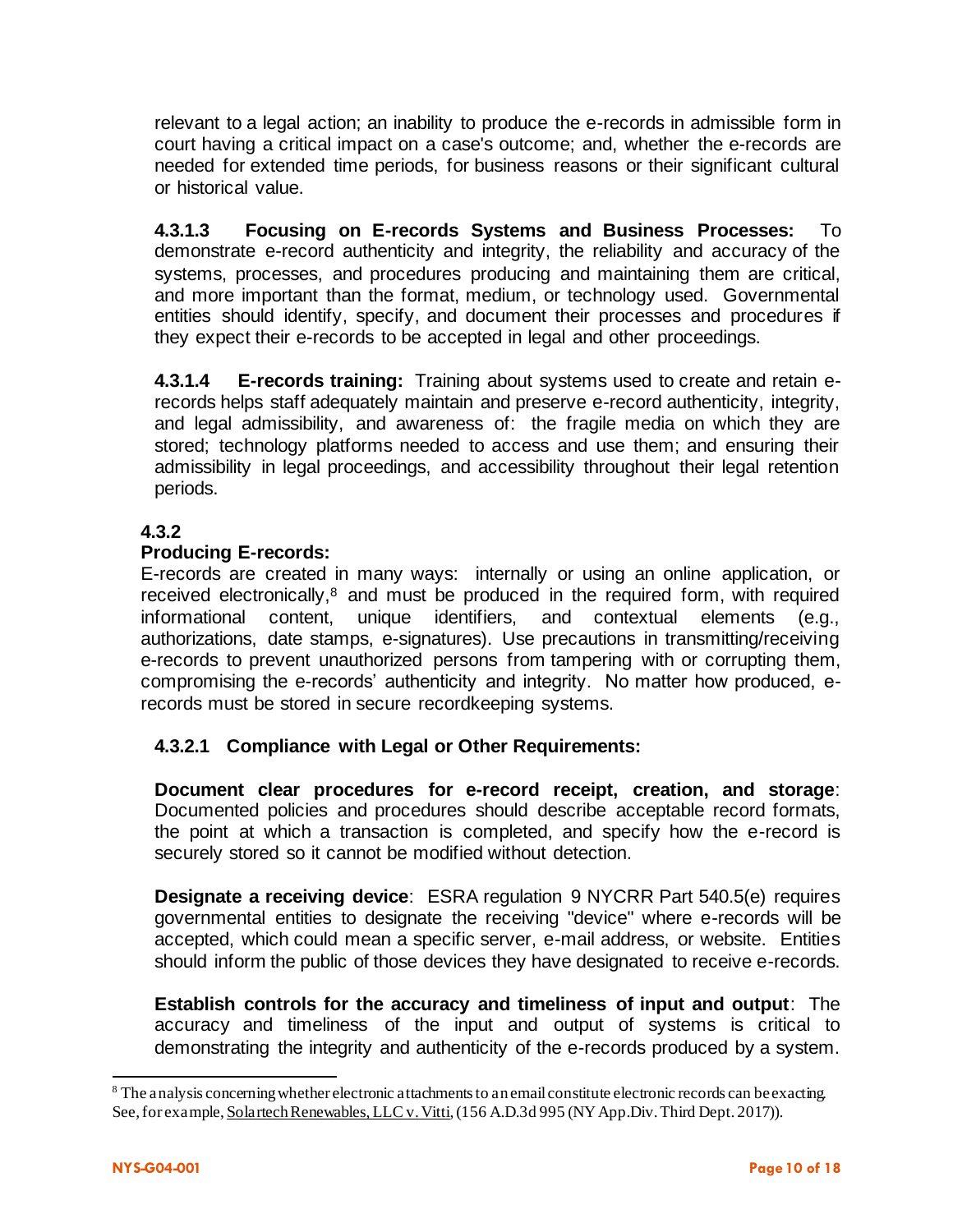relevant to a legal action; an inability to produce the e-records in admissible form in court having a critical impact on a case's outcome; and, whether the e-records are needed for extended time periods, for business reasons or their significant cultural or historical value.

**4.3.1.3 Focusing on E-records Systems and Business Processes:** To demonstrate e-record authenticity and integrity, the reliability and accuracy of the systems, processes, and procedures producing and maintaining them are critical, and more important than the format, medium, or technology used. Governmental entities should identify, specify, and document their processes and procedures if they expect their e-records to be accepted in legal and other proceedings.

**4.3.1.4 E-records training:** Training about systems used to create and retain erecords helps staff adequately maintain and preserve e-record authenticity, integrity, and legal admissibility, and awareness of: the fragile media on which they are stored; technology platforms needed to access and use them; and ensuring their admissibility in legal proceedings, and accessibility throughout their legal retention periods.

#### **4.3.2**

#### **Producing E-records:**

E-records are created in many ways: internally or using an online application, or received electronically,<sup>8</sup> and must be produced in the required form, with required informational content, unique identifiers, and contextual elements (e.g., authorizations, date stamps, e-signatures). Use precautions in transmitting/receiving e-records to prevent unauthorized persons from tampering with or corrupting them, compromising the e-records' authenticity and integrity. No matter how produced, erecords must be stored in secure recordkeeping systems.

#### **4.3.2.1 Compliance with Legal or Other Requirements:**

**Document clear procedures for e-record receipt, creation, and storage**: Documented policies and procedures should describe acceptable record formats, the point at which a transaction is completed, and specify how the e-record is securely stored so it cannot be modified without detection.

**Designate a receiving device**: ESRA regulation 9 NYCRR Part 540.5(e) requires governmental entities to designate the receiving "device" where e-records will be accepted, which could mean a specific server, e-mail address, or website. Entities should inform the public of those devices they have designated to receive e-records.

**Establish controls for the accuracy and timeliness of input and output**: The accuracy and timeliness of the input and output of systems is critical to demonstrating the integrity and authenticity of the e-records produced by a system.

<sup>&</sup>lt;sup>8</sup> The analysis concerning whether electronic attachments to an email constitute electronic records can be exacting. See, for example, Solartech Renewables, LLC v. Vitti, (156 A.D.3d 995 (NY App.Div. Third Dept. 2017)).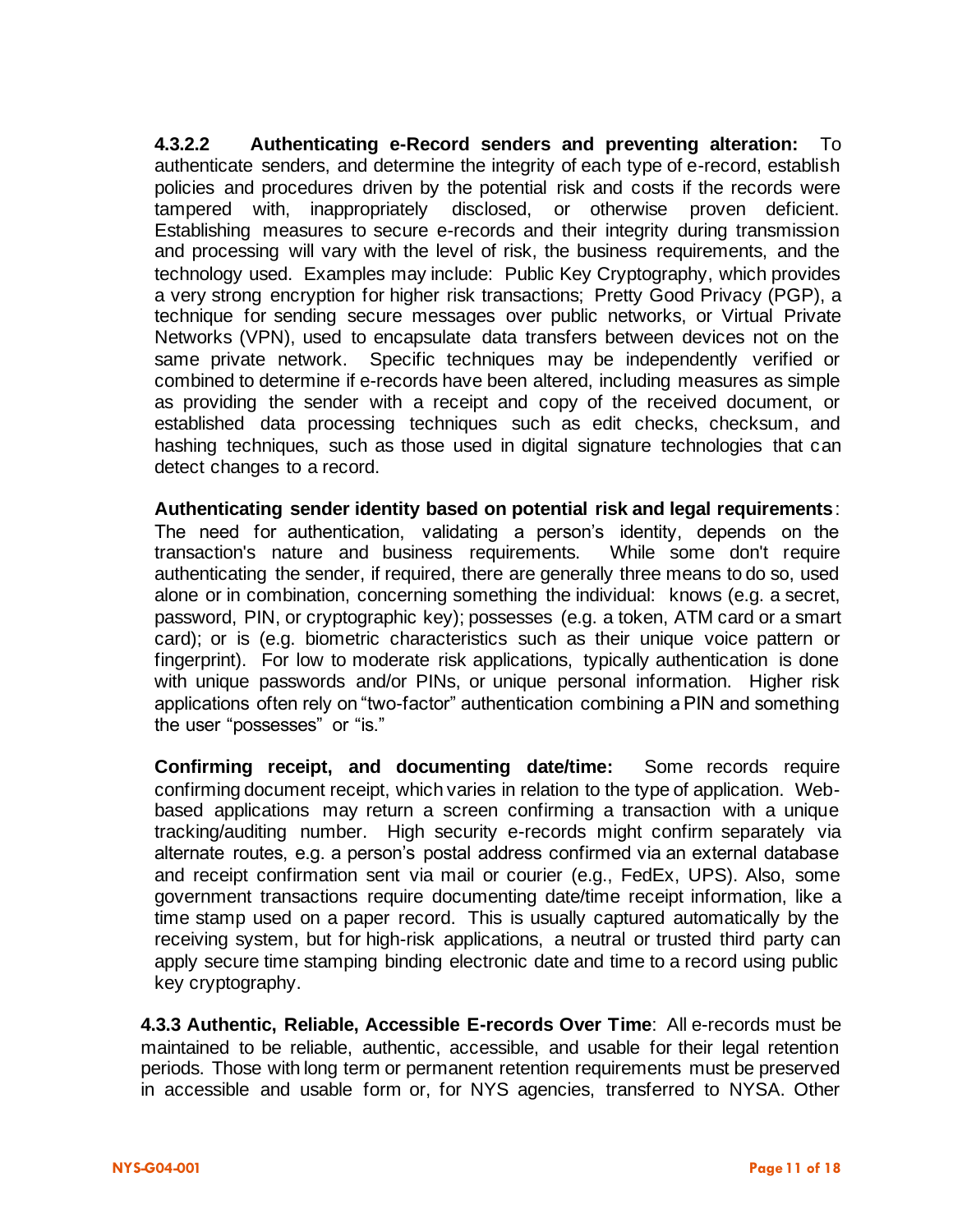**4.3.2.2 Authenticating e-Record senders and preventing alteration:** To authenticate senders, and determine the integrity of each type of e-record, establish policies and procedures driven by the potential risk and costs if the records were tampered with, inappropriately disclosed, or otherwise proven deficient. Establishing measures to secure e-records and their integrity during transmission and processing will vary with the level of risk, the business requirements, and the technology used. Examples may include: Public Key Cryptography, which provides a very strong encryption for higher risk transactions; Pretty Good Privacy (PGP), a technique for sending secure messages over public networks, or Virtual Private Networks (VPN), used to encapsulate data transfers between devices not on the same private network. Specific techniques may be independently verified or combined to determine if e-records have been altered, including measures as simple as providing the sender with a receipt and copy of the received document, or established data processing techniques such as edit checks, checksum, and hashing techniques, such as those used in digital signature technologies that can detect changes to a record.

**Authenticating sender identity based on potential risk and legal requirements**: The need for authentication, validating a person's identity, depends on the transaction's nature and business requirements. While some don't require authenticating the sender, if required, there are generally three means to do so, used alone or in combination, concerning something the individual: knows (e.g. a secret, password, PIN, or cryptographic key); possesses (e.g. a token, ATM card or a smart card); or is (e.g. biometric characteristics such as their unique voice pattern or fingerprint). For low to moderate risk applications, typically authentication is done with unique passwords and/or PINs, or unique personal information. Higher risk applications often rely on "two-factor" authentication combining a PIN and something the user "possesses" or "is."

**Confirming receipt, and documenting date/time:** Some records require confirming document receipt, which varies in relation to the type of application. Webbased applications may return a screen confirming a transaction with a unique tracking/auditing number. High security e-records might confirm separately via alternate routes, e.g. a person's postal address confirmed via an external database and receipt confirmation sent via mail or courier (e.g., FedEx, UPS). Also, some government transactions require documenting date/time receipt information, like a time stamp used on a paper record. This is usually captured automatically by the receiving system, but for high-risk applications, a neutral or trusted third party can apply secure time stamping binding electronic date and time to a record using public key cryptography.

**4.3.3 Authentic, Reliable, Accessible E-records Over Time**: All e-records must be maintained to be reliable, authentic, accessible, and usable for their legal retention periods. Those with long term or permanent retention requirements must be preserved in accessible and usable form or, for NYS agencies, transferred to NYSA. Other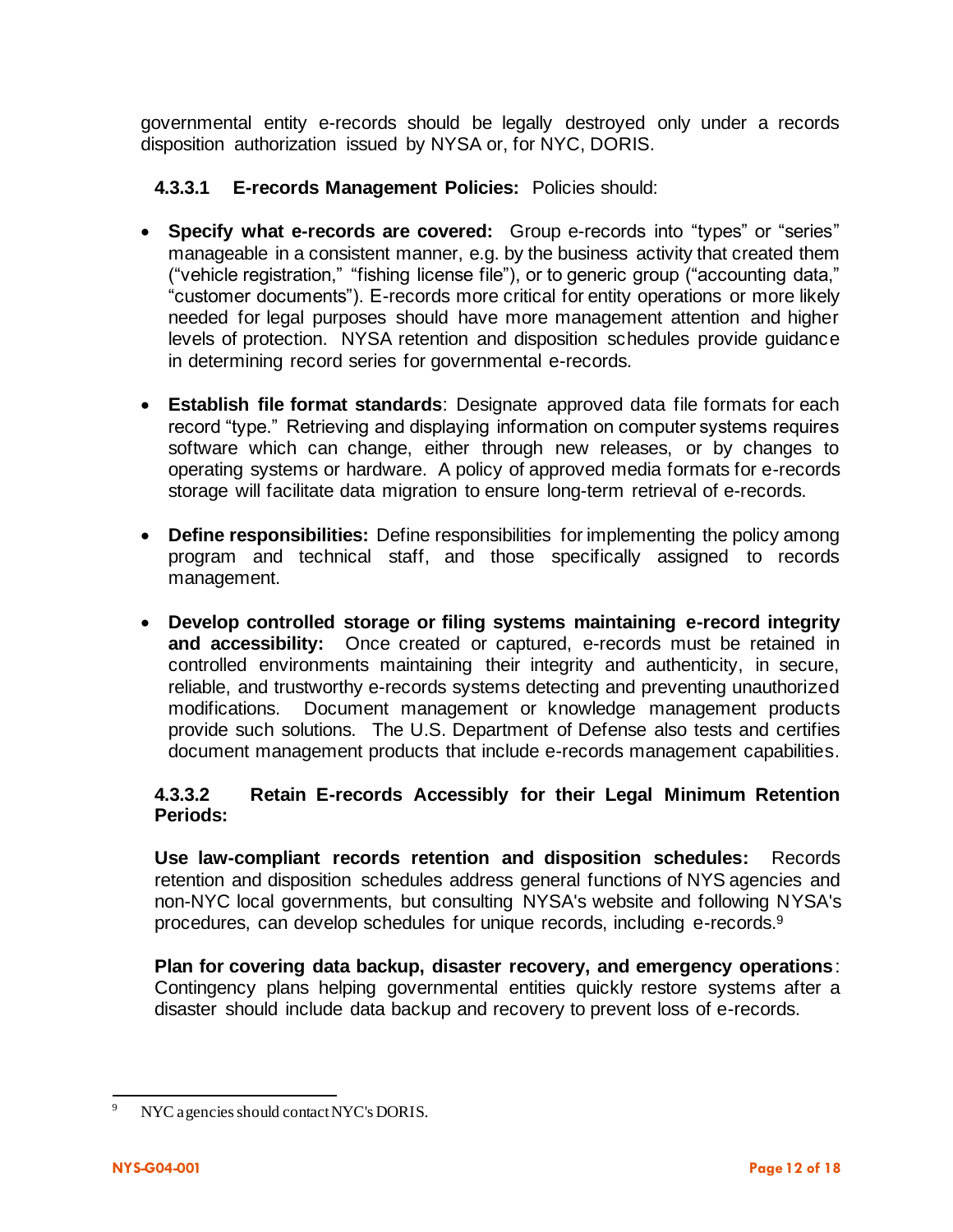governmental entity e-records should be legally destroyed only under a records disposition authorization issued by NYSA or, for NYC, DORIS.

- **4.3.3.1 E-records Management Policies:** Policies should:
- **Specify what e-records are covered:** Group e-records into "types" or "series" manageable in a consistent manner, e.g. by the business activity that created them ("vehicle registration," "fishing license file"), or to generic group ("accounting data," "customer documents"). E-records more critical for entity operations or more likely needed for legal purposes should have more management attention and higher levels of protection. NYSA retention and disposition schedules provide guidance in determining record series for governmental e-records.
- **Establish file format standards**: Designate approved data file formats for each record "type." Retrieving and displaying information on computer systems requires software which can change, either through new releases, or by changes to operating systems or hardware. A policy of approved media formats for e-records storage will facilitate data migration to ensure long-term retrieval of e-records.
- **Define responsibilities:** Define responsibilities for implementing the policy among program and technical staff, and those specifically assigned to records management.
- **Develop controlled storage or filing systems maintaining e-record integrity and accessibility:** Once created or captured, e-records must be retained in controlled environments maintaining their integrity and authenticity, in secure, reliable, and trustworthy e-records systems detecting and preventing unauthorized modifications. Document management or knowledge management products provide such solutions. The U.S. Department of Defense also tests and certifies document management products that include e-records management capabilities.

#### **4.3.3.2 Retain E-records Accessibly for their Legal Minimum Retention Periods:**

**Use law-compliant records retention and disposition schedules:** Records retention and disposition schedules address general functions of NYS agencies and non-NYC local governments, but consulting NYSA's website and following NYSA's procedures, can develop schedules for unique records, including e-records.<sup>9</sup>

**Plan for covering data backup, disaster recovery, and emergency operations**: Contingency plans helping governmental entities quickly restore systems after a disaster should include data backup and recovery to prevent loss of e-records.

<sup>9</sup> NYC agencies should contact NYC's DORIS.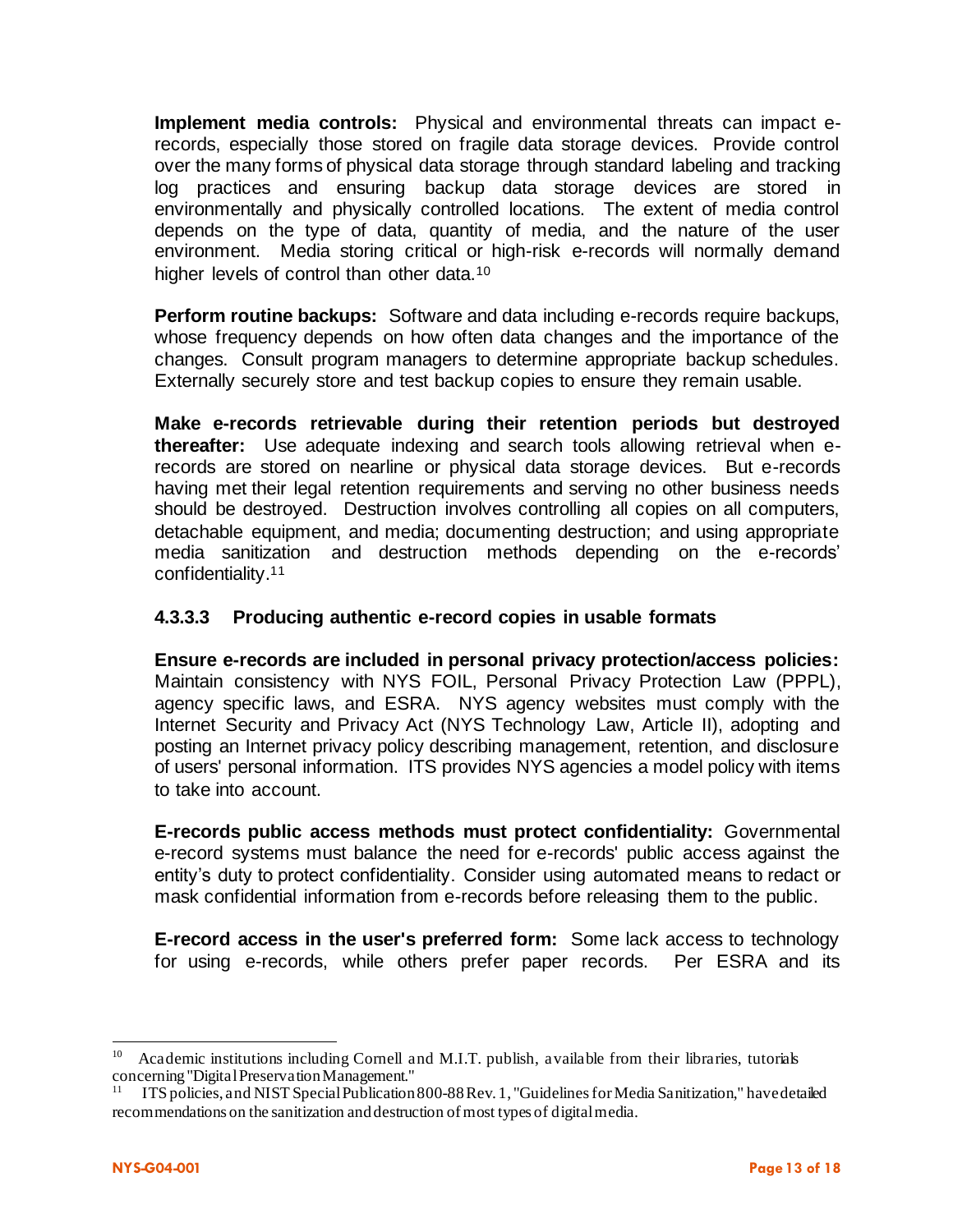**Implement media controls:** Physical and environmental threats can impact erecords, especially those stored on fragile data storage devices. Provide control over the many forms of physical data storage through standard labeling and tracking log practices and ensuring backup data storage devices are stored in environmentally and physically controlled locations. The extent of media control depends on the type of data, quantity of media, and the nature of the user environment. Media storing critical or high-risk e-records will normally demand higher levels of control than other data.<sup>10</sup>

**Perform routine backups:** Software and data including e-records require backups, whose frequency depends on how often data changes and the importance of the changes. Consult program managers to determine appropriate backup schedules. Externally securely store and test backup copies to ensure they remain usable.

**Make e-records retrievable during their retention periods but destroyed thereafter:** Use adequate indexing and search tools allowing retrieval when erecords are stored on nearline or physical data storage devices. But e-records having met their legal retention requirements and serving no other business needs should be destroyed. Destruction involves controlling all copies on all computers, detachable equipment, and media; documenting destruction; and using appropriate media sanitization and destruction methods depending on the e-records' confidentiality.<sup>11</sup>

#### **4.3.3.3 Producing authentic e-record copies in usable formats**

**Ensure e-records are included in personal privacy protection/access policies:** Maintain consistency with NYS FOIL, Personal Privacy Protection Law (PPPL), agency specific laws, and ESRA. NYS agency websites must comply with the Internet Security and Privacy Act (NYS Technology Law, Article II), adopting and posting an Internet privacy policy describing management, retention, and disclosure of users' personal information. ITS provides NYS agencies a model policy with items to take into account.

**E-records public access methods must protect confidentiality:** Governmental e-record systems must balance the need for e-records' public access against the entity's duty to protect confidentiality. Consider using automated means to redact or mask confidential information from e-records before releasing them to the public.

**E-record access in the user's preferred form:** Some lack access to technology for using e-records, while others prefer paper records. Per ESRA and its

<sup>10</sup> Academic institutions including Cornell and M.I.T. publish, available from their libraries, tutorials concerning "Digital Preservation Management." 11

ITS policies, and NIST Special Publication 800-88 Rev. 1, "Guidelines for Media Sanitization," have detailed recommendations on the sanitization and destruction of most types of digital media.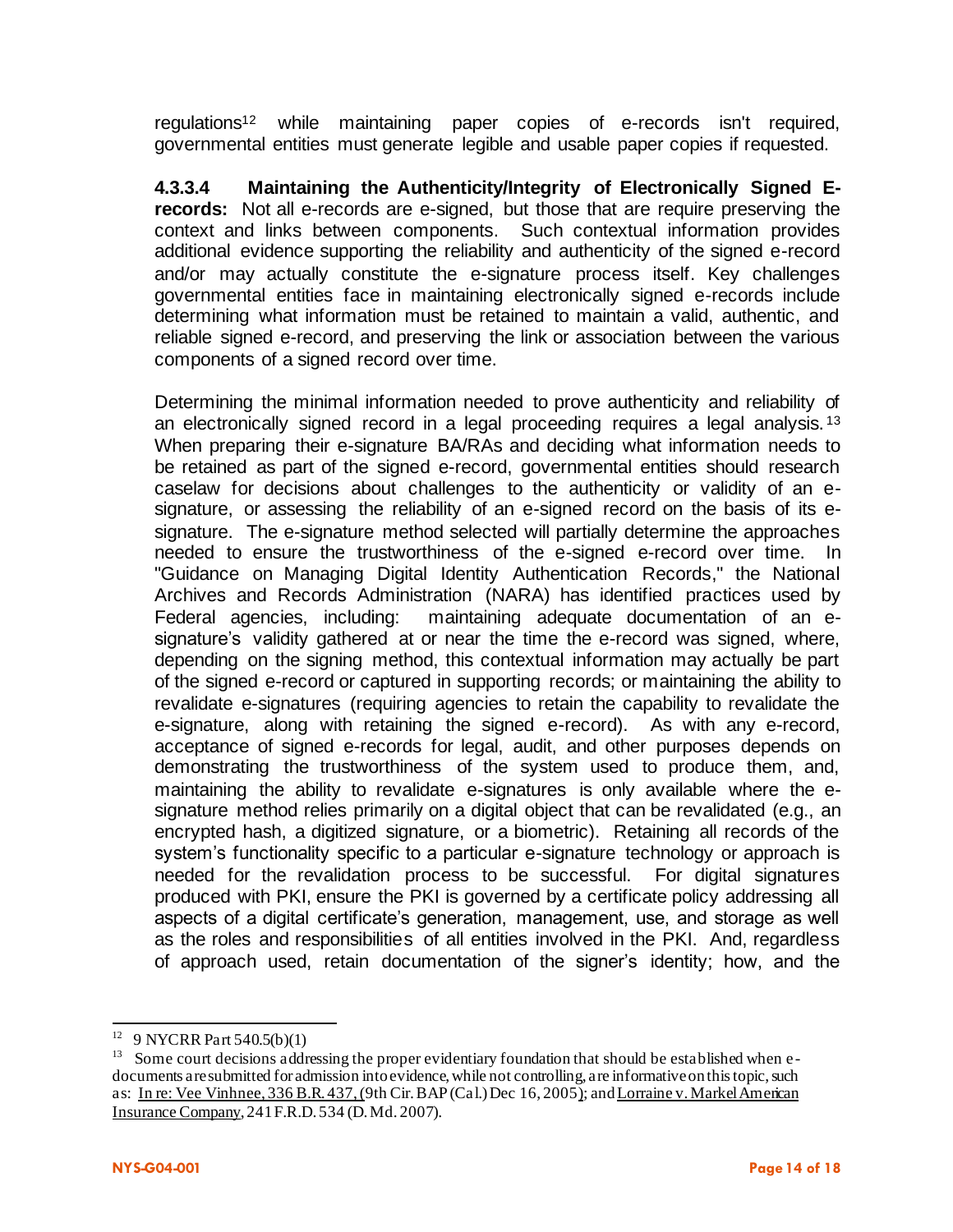regulations<sup>12</sup> while maintaining paper copies of e-records isn't required, governmental entities must generate legible and usable paper copies if requested.

**4.3.3.4 Maintaining the Authenticity/Integrity of Electronically Signed Erecords:** Not all e-records are e-signed, but those that are require preserving the context and links between components. Such contextual information provides additional evidence supporting the reliability and authenticity of the signed e-record and/or may actually constitute the e-signature process itself. Key challenges governmental entities face in maintaining electronically signed e-records include determining what information must be retained to maintain a valid, authentic, and reliable signed e-record, and preserving the link or association between the various components of a signed record over time.

Determining the minimal information needed to prove authenticity and reliability of an electronically signed record in a legal proceeding requires a legal analysis.<sup>13</sup> When preparing their e-signature BA/RAs and deciding what information needs to be retained as part of the signed e-record, governmental entities should research caselaw for decisions about challenges to the authenticity or validity of an esignature, or assessing the reliability of an e-signed record on the basis of its esignature. The e-signature method selected will partially determine the approaches needed to ensure the trustworthiness of the e-signed e-record over time. In "Guidance on Managing Digital Identity Authentication Records," the National Archives and Records Administration (NARA) has identified practices used by Federal agencies, including: maintaining adequate documentation of an esignature's validity gathered at or near the time the e-record was signed, where, depending on the signing method, this contextual information may actually be part of the signed e-record or captured in supporting records; or maintaining the ability to revalidate e-signatures (requiring agencies to retain the capability to revalidate the e-signature, along with retaining the signed e-record). As with any e-record, acceptance of signed e-records for legal, audit, and other purposes depends on demonstrating the trustworthiness of the system used to produce them, and, maintaining the ability to revalidate e-signatures is only available where the esignature method relies primarily on a digital object that can be revalidated (e.g., an encrypted hash, a digitized signature, or a biometric). Retaining all records of the system's functionality specific to a particular e-signature technology or approach is needed for the revalidation process to be successful. For digital signatures produced with PKI, ensure the PKI is governed by a certificate policy addressing all aspects of a digital certificate's generation, management, use, and storage as well as the roles and responsibilities of all entities involved in the PKI. And, regardless of approach used, retain documentation of the signer's identity; how, and the

<sup>12</sup> 9 NYCRR Part 540.5(b)(1)

<sup>&</sup>lt;sup>13</sup> Some court decisions addressing the proper evidentiary foundation that should be established when edocuments are submitted for admission into evidence, while not controlling, are informative on this topic, such as: In re: Vee Vinhnee, 336 B.R. 437, (9th Cir. BAP (Cal.) Dec 16, 2005); and Lorraine v. Markel American Insurance Company, 241 F.R.D. 534 (D. Md. 2007).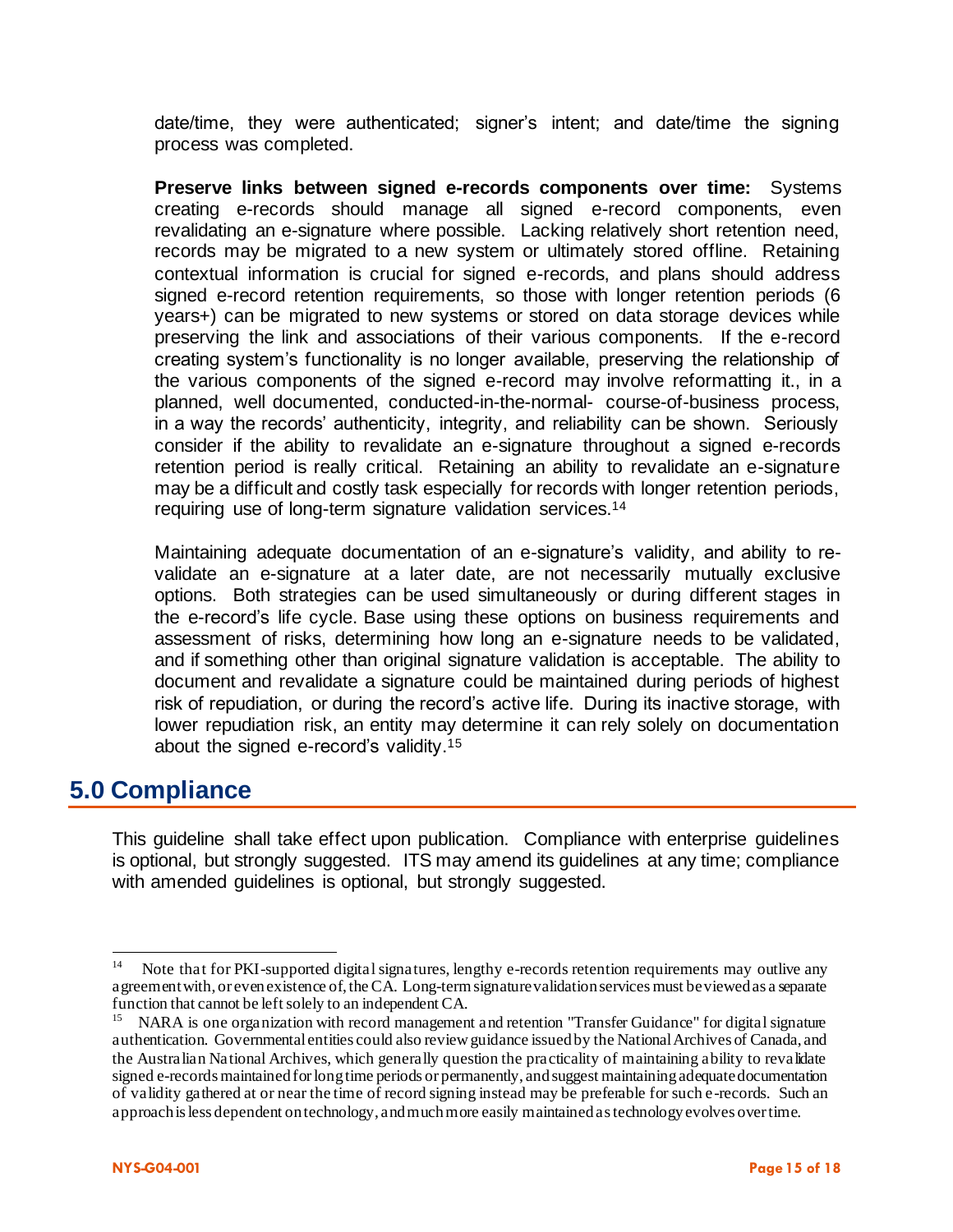date/time, they were authenticated; signer's intent; and date/time the signing process was completed.

**Preserve links between signed e-records components over time:** Systems creating e-records should manage all signed e-record components, even revalidating an e-signature where possible. Lacking relatively short retention need, records may be migrated to a new system or ultimately stored offline. Retaining contextual information is crucial for signed e-records, and plans should address signed e-record retention requirements, so those with longer retention periods (6 years+) can be migrated to new systems or stored on data storage devices while preserving the link and associations of their various components. If the e-record creating system's functionality is no longer available, preserving the relationship of the various components of the signed e-record may involve reformatting it., in a planned, well documented, conducted-in-the-normal- course-of-business process, in a way the records' authenticity, integrity, and reliability can be shown. Seriously consider if the ability to revalidate an e-signature throughout a signed e-records retention period is really critical. Retaining an ability to revalidate an e-signature may be a difficult and costly task especially for records with longer retention periods, requiring use of long-term signature validation services.<sup>14</sup>

Maintaining adequate documentation of an e-signature's validity, and ability to revalidate an e-signature at a later date, are not necessarily mutually exclusive options. Both strategies can be used simultaneously or during different stages in the e-record's life cycle. Base using these options on business requirements and assessment of risks, determining how long an e-signature needs to be validated, and if something other than original signature validation is acceptable. The ability to document and revalidate a signature could be maintained during periods of highest risk of repudiation, or during the record's active life. During its inactive storage, with lower repudiation risk, an entity may determine it can rely solely on documentation about the signed e-record's validity.<sup>15</sup>

### **5.0 Compliance**

This guideline shall take effect upon publication. Compliance with enterprise guidelines is optional, but strongly suggested. ITS may amend its guidelines at any time; compliance with amended quidelines is optional, but strongly suggested.

<sup>14</sup> Note that for PKI-supported digital signatures, lengthy e-records retention requirements may outlive any agreement with, or even existence of, the CA. Long-term signature validation services must be viewed as a separate function that cannot be left solely to an independent CA.

<sup>15</sup> NARA is one organization with record management and retention "Transfer Guidance" for digital signature authentication. Governmental entities could also review guidance issued by the National Archives of Canada, and the Australian National Archives, which generally question the practicality of maintaining ability to revalidate signed e-records maintained for long time periods or permanently, and suggest maintaining adequate documentation of validity gathered at or near the time of record signing instead may be preferable for such e-records. Such an approach is less dependent on technology, and much more easily maintained as technology evolves over time.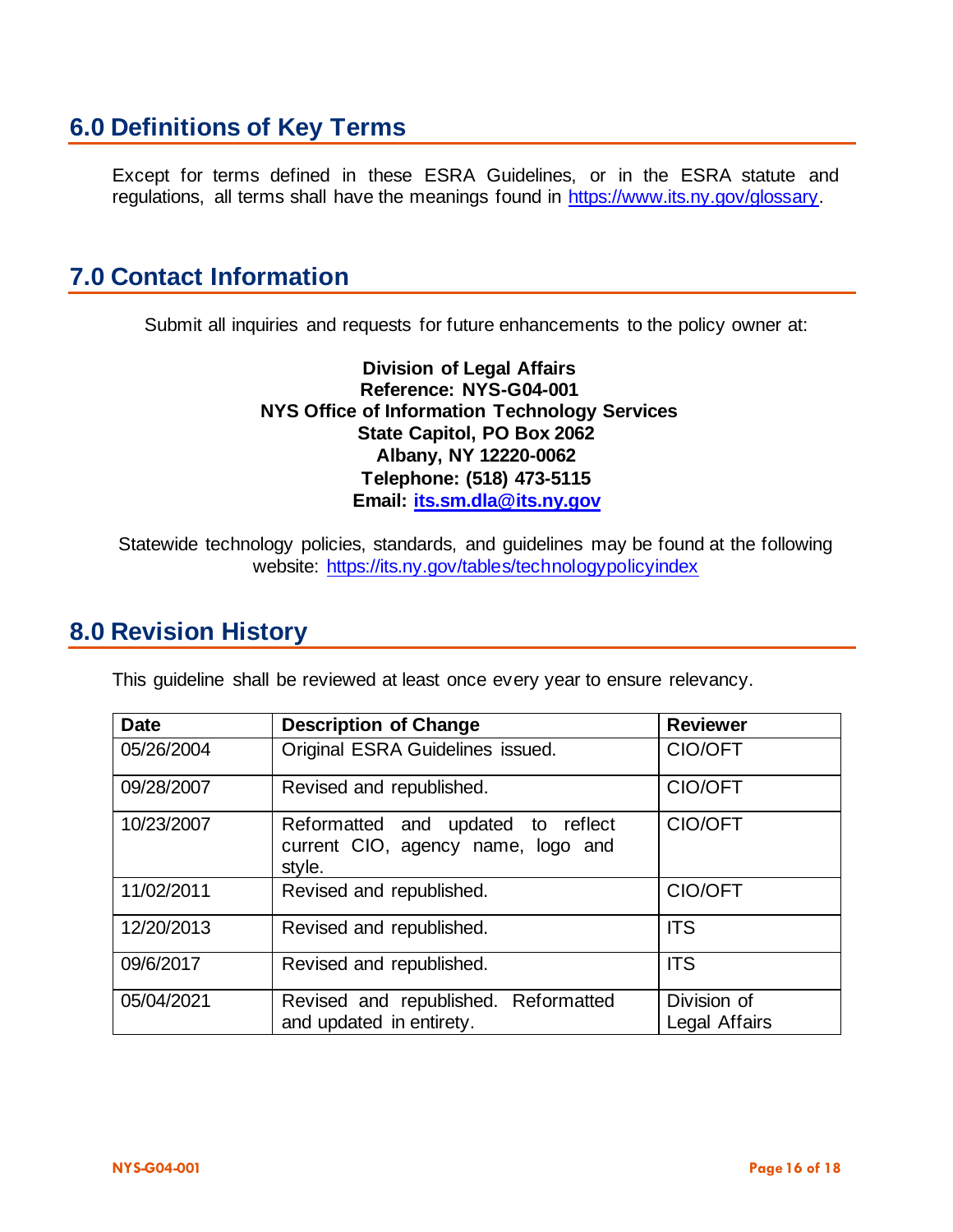## **6.0 Definitions of Key Terms**

Except for terms defined in these ESRA Guidelines, or in the ESRA statute and regulations, all terms shall have the meanings found in [https://www.its.ny.gov/glossary.](https://www.its.ny.gov/glossary)

### **7.0 Contact Information**

Submit all inquiries and requests for future enhancements to the policy owner at:

**Division of Legal Affairs Reference: NYS-G04-001 NYS Office of Information Technology Services State Capitol, PO Box 2062 Albany, NY 12220-0062 Telephone: (518) 473-5115 Email: its.sm.dla@its.ny.gov**

Statewide technology policies, standards, and guidelines may be found at the following website: https://its.ny.gov/tables/technologypolicyindex

### **8.0 Revision History**

This guideline shall be reviewed at least once every year to ensure relevancy.

| <b>Date</b> | <b>Description of Change</b>                                                       | <b>Reviewer</b>              |
|-------------|------------------------------------------------------------------------------------|------------------------------|
| 05/26/2004  | Original ESRA Guidelines issued.                                                   | CIO/OFT                      |
| 09/28/2007  | Revised and republished.                                                           | CIO/OFT                      |
| 10/23/2007  | Reformatted and updated to reflect<br>current CIO, agency name, logo and<br>style. | CIO/OFT                      |
| 11/02/2011  | Revised and republished.                                                           | CIO/OFT                      |
| 12/20/2013  | Revised and republished.                                                           | <b>ITS</b>                   |
| 09/6/2017   | Revised and republished.                                                           | <b>ITS</b>                   |
| 05/04/2021  | Revised and republished. Reformatted<br>and updated in entirety.                   | Division of<br>Legal Affairs |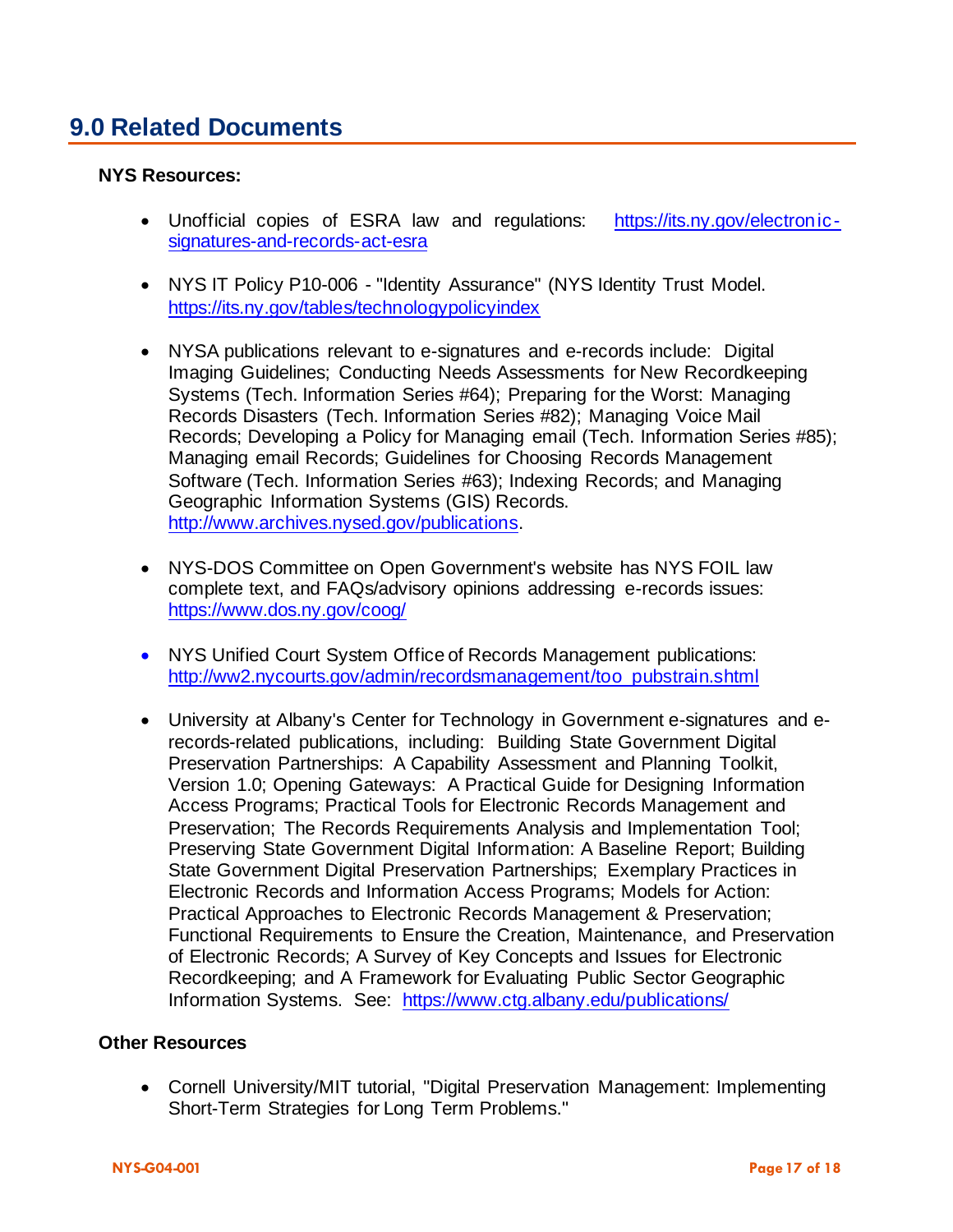## **9.0 Related Documents**

#### **NYS Resources:**

- Unofficial copies of ESRA law and regulations: [https://its.ny.gov/electronic](https://its.ny.gov/electronic-signatures-and-records-act-esra)[signatures-and-records-act-esra](https://its.ny.gov/electronic-signatures-and-records-act-esra)
- NYS IT Policy P10-006 "Identity Assurance" (NYS Identity Trust Model. https://its.ny.gov/tables/technologypolicyindex
- NYSA publications relevant to e-signatures and e-records include: Digital Imaging Guidelines; Conducting Needs Assessments for New Recordkeeping Systems (Tech. Information Series #64); Preparing for the Worst: Managing Records Disasters (Tech. Information Series #82); Managing Voice Mail Records; Developing a Policy for Managing email (Tech. Information Series #85); Managing email Records; Guidelines for Choosing Records Management Software (Tech. Information Series #63); Indexing Records; and Managing Geographic Information Systems (GIS) Records. [http://www.archives.nysed.gov/publications.](http://www.archives.nysed.gov/publications)
- NYS-DOS Committee on Open Government's website has NYS FOIL law complete text, and FAQs/advisory opinions addressing e-records issues: <https://www.dos.ny.gov/coog/>
- NYS Unified Court System Office of Records Management publications: [http://ww2.nycourts.gov/admin/recordsmanagement/too\\_pubstrain.shtml](http://ww2.nycourts.gov/admin/recordsmanagement/too_pubstrain.shtml)
- University at Albany's Center for Technology in Government e-signatures and erecords-related publications, including: Building State Government Digital Preservation Partnerships: A Capability Assessment and Planning Toolkit, Version 1.0; Opening Gateways: A Practical Guide for Designing Information Access Programs; Practical Tools for Electronic Records Management and Preservation; The Records Requirements Analysis and Implementation Tool; Preserving State Government Digital Information: A Baseline Report; Building State Government Digital Preservation Partnerships; Exemplary Practices in Electronic Records and Information Access Programs; Models for Action: Practical Approaches to Electronic Records Management & Preservation; Functional Requirements to Ensure the Creation, Maintenance, and Preservation of Electronic Records; A Survey of Key Concepts and Issues for Electronic Recordkeeping; and A Framework for Evaluating Public Sector Geographic Information Systems. See: <https://www.ctg.albany.edu/publications/>

#### **Other Resources**

• Cornell University/MIT tutorial, "Digital Preservation Management: Implementing Short-Term Strategies for Long Term Problems."